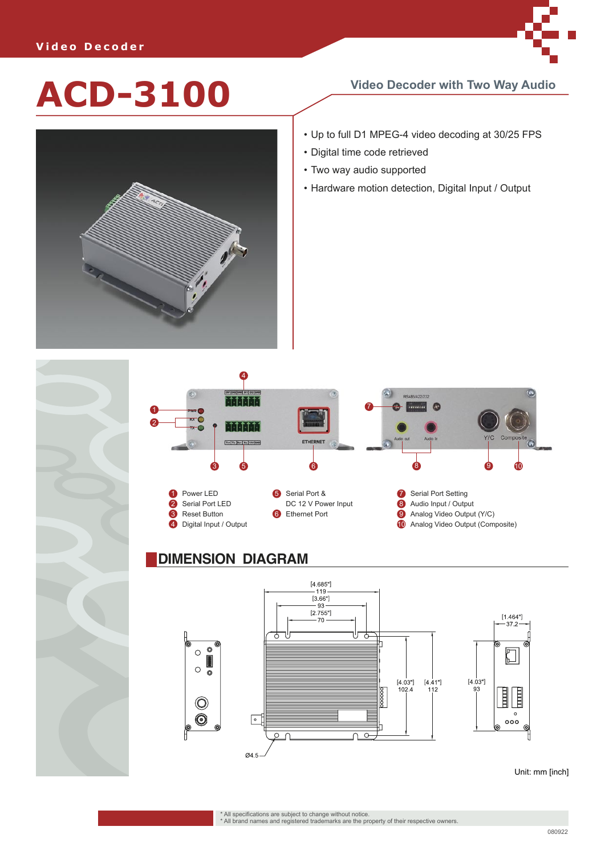

## **ACD-3100 Video Decoder with Two Way Audio**



- Up to full D1 MPEG-4 video decoding at 30/25 FPS
- Digital time code retrieved
- Two way audio supported
- Hardware motion detection, Digital Input / Output



## **DIMENSION DIAGRAM**



Unit: mm [inch]

\* All specifications are subject to change without notice. \* All brand names and registered trademarks are the property of their respective owners.